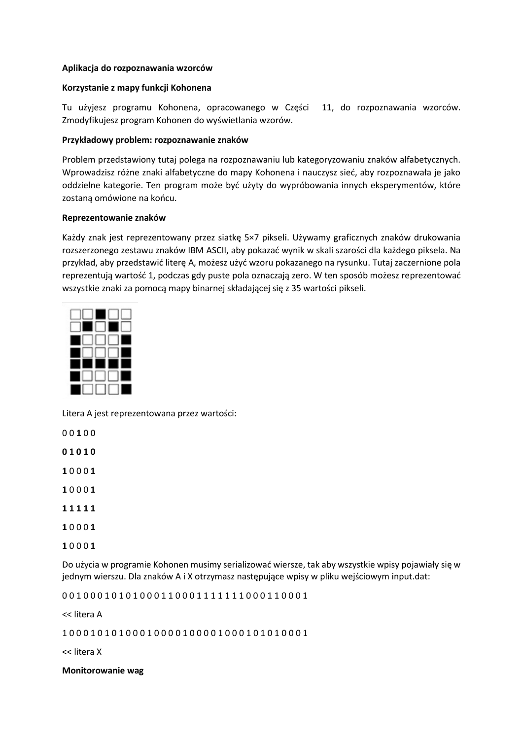## **Aplikacja do rozpoznawania wzorców**

### **Korzystanie z mapy funkcji Kohonena**

Tu użyjesz programu Kohonena, opracowanego w Części 11, do rozpoznawania wzorców. Zmodyfikujesz program Kohonen do wyświetlania wzorów.

### **Przykładowy problem: rozpoznawanie znaków**

Problem przedstawiony tutaj polega na rozpoznawaniu lub kategoryzowaniu znaków alfabetycznych. Wprowadzisz różne znaki alfabetyczne do mapy Kohonena i nauczysz sieć, aby rozpoznawała je jako oddzielne kategorie. Ten program może być użyty do wypróbowania innych eksperymentów, które zostaną omówione na końcu.

### **Reprezentowanie znaków**

Każdy znak jest reprezentowany przez siatkę 5×7 pikseli. Używamy graficznych znaków drukowania rozszerzonego zestawu znaków IBM ASCII, aby pokazać wynik w skali szarości dla każdego piksela. Na przykład, aby przedstawić literę A, możesz użyć wzoru pokazanego na rysunku. Tutaj zaczernione pola reprezentują wartość 1, podczas gdy puste pola oznaczają zero. W ten sposób możesz reprezentować wszystkie znaki za pomocą mapy binarnej składającej się z 35 wartości pikseli.



Litera A jest reprezentowana przez wartości:

0 0 **1** 0 0

**0 1 0 1 0**

**1** 0 0 0 **1**

- **1** 0 0 0 **1**
- **1 1 1 1 1**
- **1** 0 0 0 **1**
- **1** 0 0 0 **1**

Do użycia w programie Kohonen musimy serializować wiersze, tak aby wszystkie wpisy pojawiały się w jednym wierszu. Dla znaków A i X otrzymasz następujące wpisy w pliku wejściowym input.dat:

0 0 1 0 0 0 1 0 1 0 1 0 0 0 1 1 0 0 0 1 1 1 1 1 1 1 0 0 0 1 1 0 0 0 1

<< litera A

1 0 0 0 1 0 1 0 1 0 0 0 1 0 0 0 0 1 0 0 0 0 1 0 0 0 1 0 1 0 1 0 0 0 1

<< litera X

**Monitorowanie wag**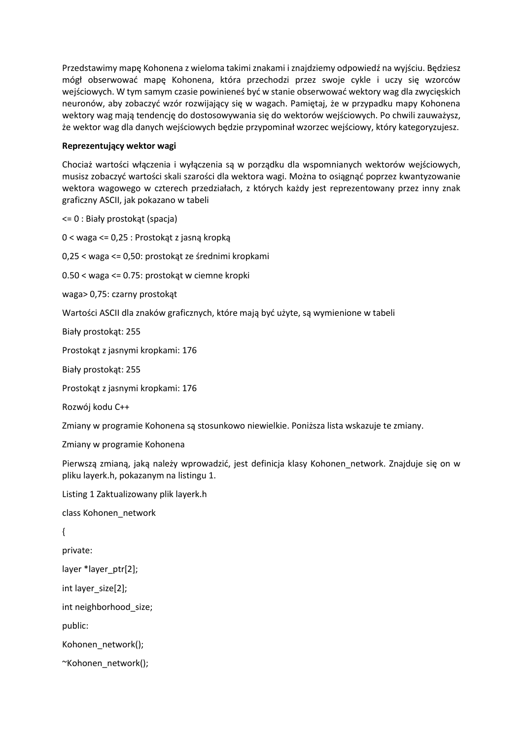Przedstawimy mapę Kohonena z wieloma takimi znakami i znajdziemy odpowiedź na wyjściu. Będziesz mógł obserwować mapę Kohonena, która przechodzi przez swoje cykle i uczy się wzorców wejściowych. W tym samym czasie powinieneś być w stanie obserwować wektory wag dla zwycięskich neuronów, aby zobaczyć wzór rozwijający się w wagach. Pamiętaj, że w przypadku mapy Kohonena wektory wag mają tendencję do dostosowywania się do wektorów wejściowych. Po chwili zauważysz, że wektor wag dla danych wejściowych będzie przypominał wzorzec wejściowy, który kategoryzujesz.

# **Reprezentujący wektor wagi**

Chociaż wartości włączenia i wyłączenia są w porządku dla wspomnianych wektorów wejściowych, musisz zobaczyć wartości skali szarości dla wektora wagi. Można to osiągnąć poprzez kwantyzowanie wektora wagowego w czterech przedziałach, z których każdy jest reprezentowany przez inny znak graficzny ASCII, jak pokazano w tabeli

<= 0 : Biały prostokąt (spacja)

0 < waga <= 0,25 : Prostokąt z jasną kropką

0,25 < waga <= 0,50: prostokąt ze średnimi kropkami

0.50 < waga <= 0.75: prostokąt w ciemne kropki

waga> 0,75: czarny prostokąt

Wartości ASCII dla znaków graficznych, które mają być użyte, są wymienione w tabeli

Biały prostokąt: 255

Prostokąt z jasnymi kropkami: 176

Biały prostokąt: 255

Prostokąt z jasnymi kropkami: 176

Rozwój kodu C++

Zmiany w programie Kohonena są stosunkowo niewielkie. Poniższa lista wskazuje te zmiany.

Zmiany w programie Kohonena

Pierwszą zmianą, jaką należy wprowadzić, jest definicja klasy Kohonen\_network. Znajduje się on w pliku layerk.h, pokazanym na listingu 1.

Listing 1 Zaktualizowany plik layerk.h

class Kohonen\_network

{

private:

layer \*layer\_ptr[2];

int layer\_size[2];

int neighborhood size;

public:

Kohonen\_network();

~Kohonen\_network();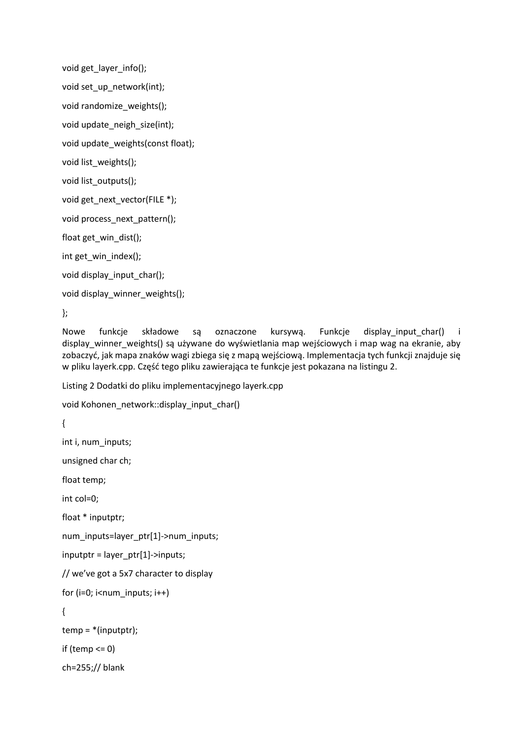```
void get_layer_info();
void set_up_network(int);
void randomize_weights();
void update_neigh_size(int);
void update_weights(const float);
void list_weights();
void list_outputs();
void get next vector(FILE *);
void process_next_pattern();
float get_win_dist();
int get_win_index();
void display_input_char();
void display_winner_weights();
```
};

Nowe funkcje składowe są oznaczone kursywą. Funkcje display\_input\_char() i display winner weights() są używane do wyświetlania map wejściowych i map wag na ekranie, aby zobaczyć, jak mapa znaków wagi zbiega się z mapą wejściową. Implementacja tych funkcji znajduje się w pliku layerk.cpp. Część tego pliku zawierająca te funkcje jest pokazana na listingu 2.

Listing 2 Dodatki do pliku implementacyjnego layerk.cpp

```
void Kohonen_network::display_input_char()
```

```
{
```
int i, num\_inputs;

unsigned char ch;

float temp;

int col=0;

float \* inputptr;

num\_inputs=layer\_ptr[1]->num\_inputs;

```
inputptr = layer_ptr[1]->inputs;
```
// we've got a 5x7 character to display

```
for (i=0; i<sub>num</sub> inputs; i++)
```
{

```
temp = *(inputptr);
```
if (temp  $<= 0$ )

ch=255;// blank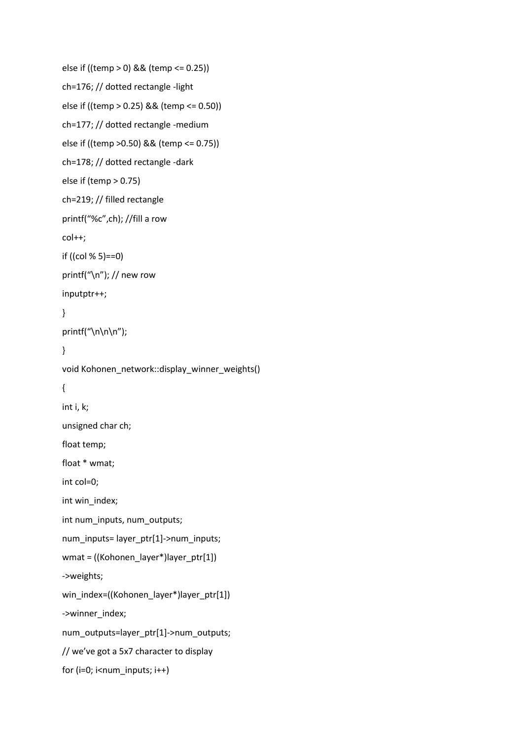```
else if ((temp > 0) && (temp <= 0.25))
ch=176; // dotted rectangle -light
else if ((temp > 0.25) && (temp <= 0.50))
ch=177; // dotted rectangle -medium
else if ((temp >0.50) && (temp <= 0.75))
ch=178; // dotted rectangle -dark
else if (temp > 0.75)
ch=219; // filled rectangle
printf("%c",ch); //fill a row
col++;
if ((col % 5)==0)
printf("\n"); // new row
inputptr++;
}
printf("\ln\ln");
}
void Kohonen_network::display_winner_weights()
{
int i, k;
unsigned char ch;
float temp;
float * wmat;
int col=0;
int win_index;
int num_inputs, num_outputs;
num_inputs= layer_ptr[1]->num_inputs;
wmat = ((Kohonen_layer*)layer_ptr[1])
->weights;
win_index=((Kohonen_layer*)layer_ptr[1])
->winner_index;
num_outputs=layer_ptr[1]->num_outputs;
// we've got a 5x7 character to display
for (i=0; i<sub>num</sub> inputs; i++)
```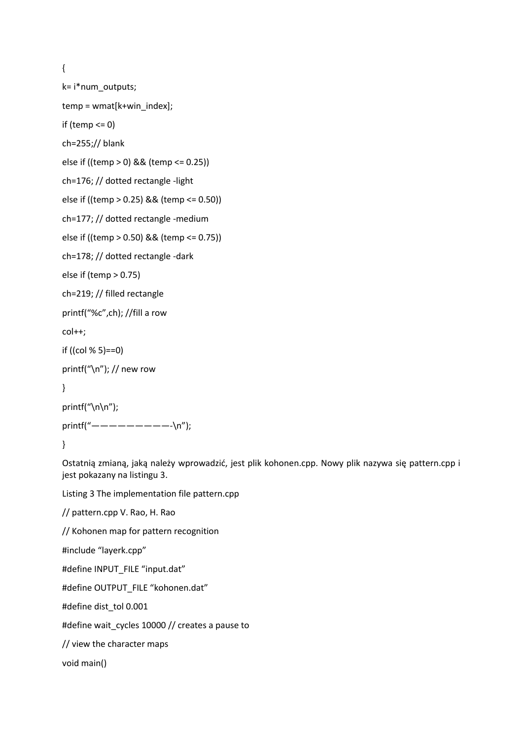{

```
k= i*num_outputs;
temp = wmat[k+win_index];
if (temp <= 0)
ch=255;// blank
else if ((temp > 0) && (temp <= 0.25))
ch=176; // dotted rectangle -light
else if ((temp > 0.25) && (temp <= 0.50))
ch=177; // dotted rectangle -medium
else if ((temp > 0.50) && (temp <= 0.75))
ch=178; // dotted rectangle -dark
else if (temp > 0.75)
ch=219; // filled rectangle
printf("%c",ch); //fill a row
col++;
if ((col % 5)==0)
printf("\n"); // new row
}
printf("\n\n");
printf("—————————-\n");
}
```
Ostatnią zmianą, jaką należy wprowadzić, jest plik kohonen.cpp. Nowy plik nazywa się pattern.cpp i jest pokazany na listingu 3.

Listing 3 The implementation file pattern.cpp

// pattern.cpp V. Rao, H. Rao

// Kohonen map for pattern recognition

#include "layerk.cpp"

#define INPUT\_FILE "input.dat"

#define OUTPUT\_FILE "kohonen.dat"

#define dist\_tol 0.001

#define wait\_cycles 10000 // creates a pause to

// view the character maps

void main()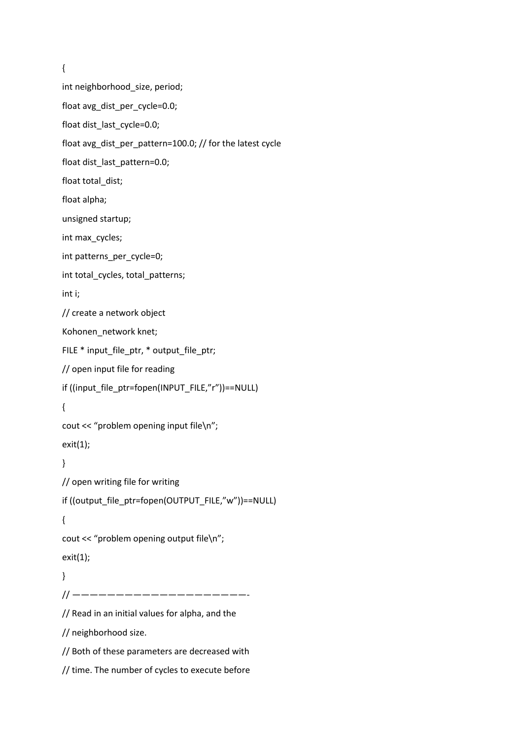```
{
int neighborhood_size, period;
float avg_dist_per_cycle=0.0;
float dist_last_cycle=0.0;
float avg_dist_per_pattern=100.0; // for the latest cycle
float dist_last_pattern=0.0;
float total dist;
float alpha;
unsigned startup;
int max_cycles;
int patterns_per_cycle=0;
int total cycles, total patterns;
int i;
// create a network object
Kohonen_network knet;
FILE * input file ptr, * output file ptr;
// open input file for reading
if ((input_file_ptr=fopen(INPUT_FILE,"r"))==NULL)
{
cout << "problem opening input file\n";
exit(1);
}
// open writing file for writing
if ((output_file_ptr=fopen(OUTPUT_FILE,"w"))==NULL)
{
cout << "problem opening output file\n";
exit(1);
}
// ————————————————————-
// Read in an initial values for alpha, and the
// neighborhood size.
// Both of these parameters are decreased with
// time. The number of cycles to execute before
```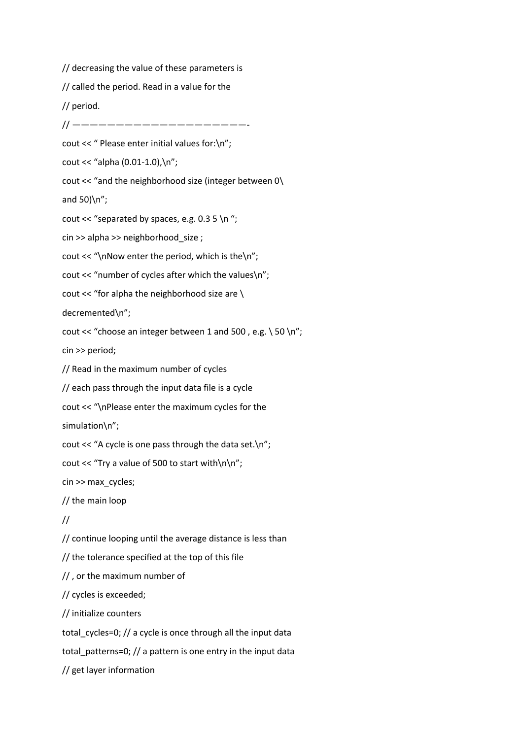// decreasing the value of these parameters is // called the period. Read in a value for the // period. // ———————————————————— cout << " Please enter initial values for:\n"; cout << "alpha (0.01-1.0),\n"; cout << "and the neighborhood size (integer between 0\ and 50)\n"; cout << "separated by spaces, e.g.  $0.35 \n\ln$ "; cin >> alpha >> neighborhood\_size ; cout  $<<$  "\nNow enter the period, which is the\n"; cout << "number of cycles after which the values\n"; cout << "for alpha the neighborhood size are \ decremented\n"; cout << "choose an integer between 1 and 500, e.g.  $\setminus$  50  $\setminus$ n"; cin >> period; // Read in the maximum number of cycles // each pass through the input data file is a cycle cout << "\nPlease enter the maximum cycles for the simulation\n"; cout << "A cycle is one pass through the data set.\n"; cout << "Try a value of 500 to start with $\n\ln$ "; cin >> max\_cycles; // the main loop // // continue looping until the average distance is less than // the tolerance specified at the top of this file // , or the maximum number of // cycles is exceeded; // initialize counters total cycles=0;  $//$  a cycle is once through all the input data total patterns=0;  $//$  a pattern is one entry in the input data // get layer information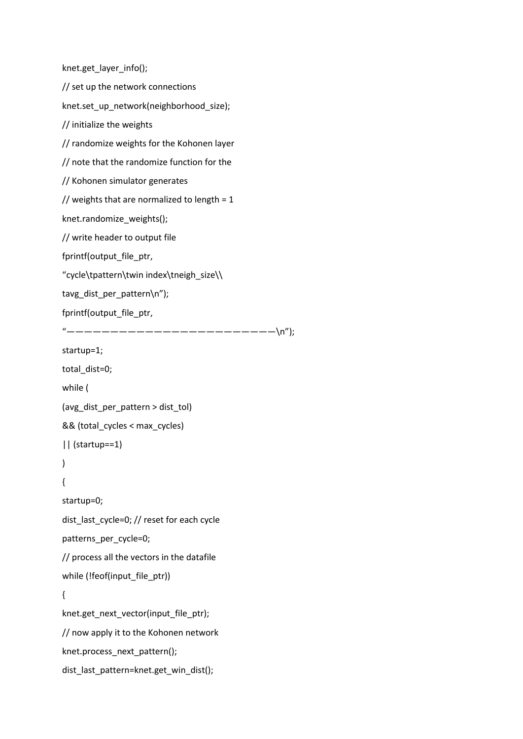```
knet.get_layer_info();
// set up the network connections
knet.set_up_network(neighborhood_size);
// initialize the weights
// randomize weights for the Kohonen layer
// note that the randomize function for the
// Kohonen simulator generates
// weights that are normalized to length = 1knet.randomize_weights();
// write header to output file
fprintf(output_file_ptr,
"cycle\tpattern\twin index\tneigh_size\\
tavg_dist_per_pattern\n");
fprintf(output_file_ptr,
"————————————————————————\n");
startup=1;
total_dist=0;
while (
(avg_dist_per_pattern > dist_tol)
&& (total_cycles < max_cycles)
|| (startup==1)
)
{
startup=0;
dist_last_cycle=0; // reset for each cycle
patterns_per_cycle=0;
// process all the vectors in the datafile
while (!feof(input_file_ptr))
{
knet.get_next_vector(input_file_ptr);
// now apply it to the Kohonen network
knet.process_next_pattern();
dist_last_pattern=knet.get_win_dist();
```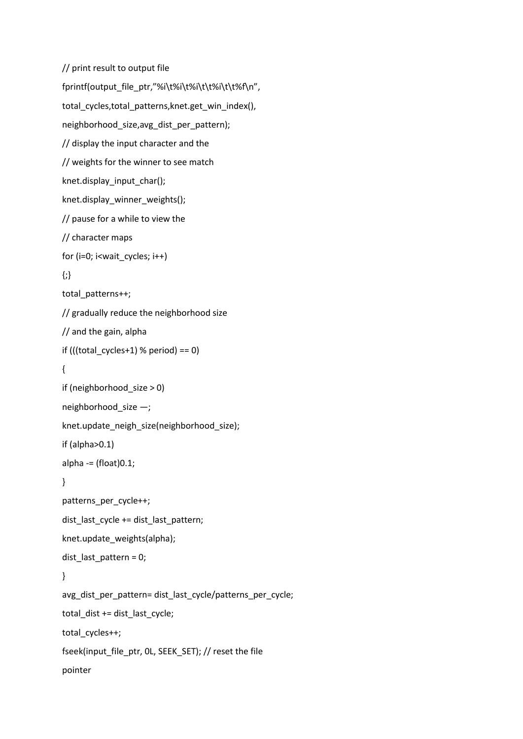```
// print result to output file
fprintf(output_file_ptr,"%i\t%i\t%i\t\t%i\t\t%f\n",
total_cycles,total_patterns,knet.get_win_index(),
neighborhood_size,avg_dist_per_pattern);
// display the input character and the
// weights for the winner to see match
knet.display_input_char();
knet.display_winner_weights();
// pause for a while to view the
// character maps
for (i=0; i<wait cycles; i++)
{;}
total patterns++;
// gradually reduce the neighborhood size
// and the gain, alpha
if (((total cycles+1) % period) == 0)
{
if (neighborhood_size > 0)
neighborhood_size —;
knet.update_neigh_size(neighborhood_size);
if (alpha>0.1)
alpha - (float)0.1;
}
patterns_per_cycle++;
dist_last_cycle += dist_last_pattern;
knet.update_weights(alpha);
dist_last_pattern = 0;
}
avg_dist_per_pattern= dist_last_cycle/patterns_per_cycle;
total_dist += dist_last_cycle;
total cycles++;
fseek(input_file_ptr, 0L, SEEK_SET); // reset the file
pointer
```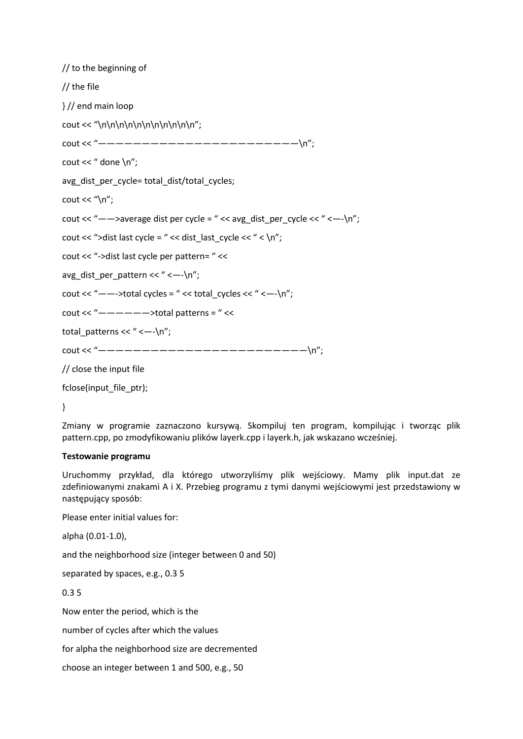// to the beginning of // the file } // end main loop cout << "\n\n\n\n\n\n\n\n\n\n\n\n'; cout << "-------------------------\n"; cout << " done \n"; avg\_dist\_per\_cycle= total\_dist/total\_cycles; cout  $<<$  "\n"; cout << "-->average dist per cycle = " << avg\_dist\_per\_cycle << " <--\n"; cout << ">dist last cycle = " << dist last cycle << " < \n"; cout << "->dist last cycle per pattern= " << avg\_dist\_per\_pattern << " <—-\n"; cout << "--->total cycles = " << total\_cycles << " <-- $\ln$ ": cout << " $-- ---$  >total patterns = " << total patterns << " < $-\n\cdot n$ "; cout << "---------------------------\n": // close the input file

fclose(input\_file\_ptr);

}

Zmiany w programie zaznaczono kursywą. Skompiluj ten program, kompilując i tworząc plik pattern.cpp, po zmodyfikowaniu plików layerk.cpp i layerk.h, jak wskazano wcześniej.

#### **Testowanie programu**

Uruchommy przykład, dla którego utworzyliśmy plik wejściowy. Mamy plik input.dat ze zdefiniowanymi znakami A i X. Przebieg programu z tymi danymi wejściowymi jest przedstawiony w następujący sposób:

Please enter initial values for:

alpha (0.01-1.0),

and the neighborhood size (integer between 0 and 50)

separated by spaces, e.g., 0.3 5

0.3 5

Now enter the period, which is the

number of cycles after which the values

for alpha the neighborhood size are decremented

choose an integer between 1 and 500, e.g., 50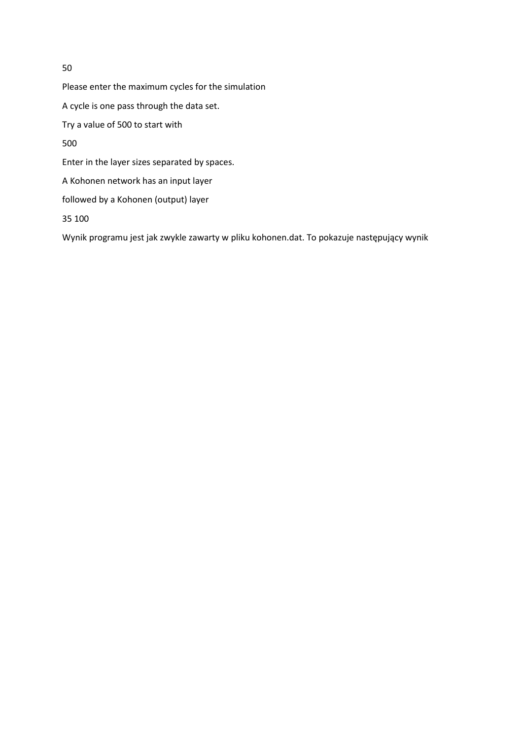Please enter the maximum cycles for the simulation A cycle is one pass through the data set. Try a value of 500 to start with 500 Enter in the layer sizes separated by spaces. A Kohonen network has an input layer followed by a Kohonen (output) layer

35 100

Wynik programu jest jak zwykle zawarty w pliku kohonen.dat. To pokazuje następujący wynik

50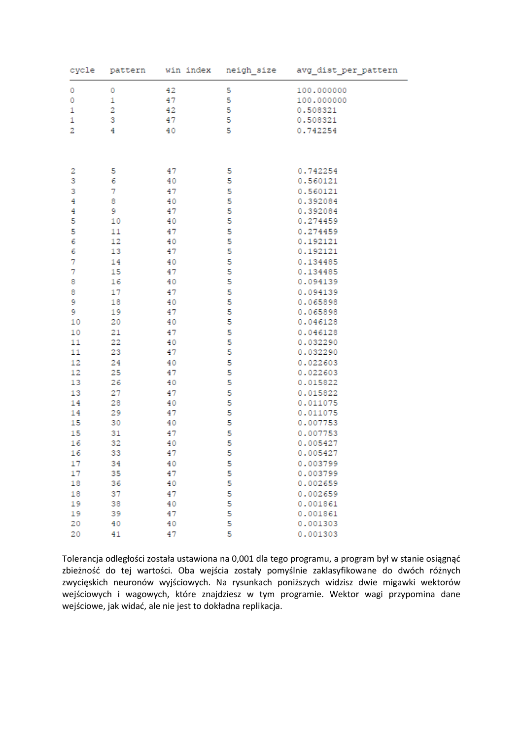| 5<br>42<br>100.000000<br>0<br>0<br>0<br>$\mathbf{1}$<br>47<br>5<br>100.000000<br>5<br>1<br>2<br>42<br>0.508321<br>1<br>5<br>3<br>47<br>0.508321<br>$\overline{\mathbf{2}}$<br>5<br>4<br>0.742254<br>40<br>5<br>5<br>2<br>47<br>0.742254<br>3<br>6<br>5<br>40<br>0.560121<br>3<br>5<br>7<br>47<br>0.560121<br>5<br>4<br>8<br>40<br>0.392084<br>4<br>9<br>5<br>0.392084<br>47<br>5<br>5<br>0.274459<br>10<br>40<br>5<br>5<br>11<br>47<br>0.274459<br>6<br>5<br>12<br>0.192121<br>40<br>6<br>5<br>13<br>47<br>0.192121<br>$\overline{7}$<br>5<br>14<br>40<br>0.134485<br>7<br>5<br>15<br>47<br>0.134485<br>5<br>8<br>16<br>40<br>0.094139<br>5<br>8<br>17<br>47<br>0.094139<br>9<br>5<br>18<br>0.065898<br>40<br>5<br>9<br>19<br>47<br>0.065898<br>5<br>10<br>20<br>40<br>0.046128<br>5<br>21<br>0.046128<br>10<br>47<br>5<br>22<br>0.032290<br>11<br>40<br>5<br>23<br>11<br>47<br>0.032290<br>5<br>12<br>24<br>0.022603<br>40<br>5<br>12<br>25<br>47<br>0.022603<br>5<br>13<br>26<br>40<br>0.015822<br>5<br>13<br>27<br>47<br>0.015822<br>5<br>14<br>28<br>40<br>0.011075<br>5<br>14<br>29<br>47<br>0.011075<br>5<br>15<br>30<br>40<br>0.007753<br>5<br>15<br>31<br>47<br>0.007753<br>5<br>16<br>32<br>40<br>0.005427<br>5<br>16<br>33<br>0.005427<br>47<br>17<br>34<br>40<br>5<br>0.003799<br>5<br>5<br>17<br>35<br>47<br>0.003799<br>36<br>40<br>18<br>0.002659<br>5<br>18<br>37<br>47<br>0.002659<br>5<br>19<br>38<br>40<br>0.001861<br>5<br>19<br>39<br>47<br>0.001861<br>5<br>20<br>40<br>40<br>0.001303<br>5<br>20<br>41<br>47<br>0.001303 | cycle | pattern | win index | neigh_size | avg_dist_per_pattern |  |  |  |  |  |  |
|------------------------------------------------------------------------------------------------------------------------------------------------------------------------------------------------------------------------------------------------------------------------------------------------------------------------------------------------------------------------------------------------------------------------------------------------------------------------------------------------------------------------------------------------------------------------------------------------------------------------------------------------------------------------------------------------------------------------------------------------------------------------------------------------------------------------------------------------------------------------------------------------------------------------------------------------------------------------------------------------------------------------------------------------------------------------------------------------------------------------------------------------------------------------------------------------------------------------------------------------------------------------------------------------------------------------------------------------------------------------------------------------------------------------------------------------------------------------------------------------------------------------------------------------|-------|---------|-----------|------------|----------------------|--|--|--|--|--|--|
|                                                                                                                                                                                                                                                                                                                                                                                                                                                                                                                                                                                                                                                                                                                                                                                                                                                                                                                                                                                                                                                                                                                                                                                                                                                                                                                                                                                                                                                                                                                                                |       |         |           |            |                      |  |  |  |  |  |  |
|                                                                                                                                                                                                                                                                                                                                                                                                                                                                                                                                                                                                                                                                                                                                                                                                                                                                                                                                                                                                                                                                                                                                                                                                                                                                                                                                                                                                                                                                                                                                                |       |         |           |            |                      |  |  |  |  |  |  |
|                                                                                                                                                                                                                                                                                                                                                                                                                                                                                                                                                                                                                                                                                                                                                                                                                                                                                                                                                                                                                                                                                                                                                                                                                                                                                                                                                                                                                                                                                                                                                |       |         |           |            |                      |  |  |  |  |  |  |
|                                                                                                                                                                                                                                                                                                                                                                                                                                                                                                                                                                                                                                                                                                                                                                                                                                                                                                                                                                                                                                                                                                                                                                                                                                                                                                                                                                                                                                                                                                                                                |       |         |           |            |                      |  |  |  |  |  |  |
|                                                                                                                                                                                                                                                                                                                                                                                                                                                                                                                                                                                                                                                                                                                                                                                                                                                                                                                                                                                                                                                                                                                                                                                                                                                                                                                                                                                                                                                                                                                                                |       |         |           |            |                      |  |  |  |  |  |  |
|                                                                                                                                                                                                                                                                                                                                                                                                                                                                                                                                                                                                                                                                                                                                                                                                                                                                                                                                                                                                                                                                                                                                                                                                                                                                                                                                                                                                                                                                                                                                                |       |         |           |            |                      |  |  |  |  |  |  |
|                                                                                                                                                                                                                                                                                                                                                                                                                                                                                                                                                                                                                                                                                                                                                                                                                                                                                                                                                                                                                                                                                                                                                                                                                                                                                                                                                                                                                                                                                                                                                |       |         |           |            |                      |  |  |  |  |  |  |
|                                                                                                                                                                                                                                                                                                                                                                                                                                                                                                                                                                                                                                                                                                                                                                                                                                                                                                                                                                                                                                                                                                                                                                                                                                                                                                                                                                                                                                                                                                                                                |       |         |           |            |                      |  |  |  |  |  |  |
|                                                                                                                                                                                                                                                                                                                                                                                                                                                                                                                                                                                                                                                                                                                                                                                                                                                                                                                                                                                                                                                                                                                                                                                                                                                                                                                                                                                                                                                                                                                                                |       |         |           |            |                      |  |  |  |  |  |  |
|                                                                                                                                                                                                                                                                                                                                                                                                                                                                                                                                                                                                                                                                                                                                                                                                                                                                                                                                                                                                                                                                                                                                                                                                                                                                                                                                                                                                                                                                                                                                                |       |         |           |            |                      |  |  |  |  |  |  |
|                                                                                                                                                                                                                                                                                                                                                                                                                                                                                                                                                                                                                                                                                                                                                                                                                                                                                                                                                                                                                                                                                                                                                                                                                                                                                                                                                                                                                                                                                                                                                |       |         |           |            |                      |  |  |  |  |  |  |
|                                                                                                                                                                                                                                                                                                                                                                                                                                                                                                                                                                                                                                                                                                                                                                                                                                                                                                                                                                                                                                                                                                                                                                                                                                                                                                                                                                                                                                                                                                                                                |       |         |           |            |                      |  |  |  |  |  |  |
|                                                                                                                                                                                                                                                                                                                                                                                                                                                                                                                                                                                                                                                                                                                                                                                                                                                                                                                                                                                                                                                                                                                                                                                                                                                                                                                                                                                                                                                                                                                                                |       |         |           |            |                      |  |  |  |  |  |  |
|                                                                                                                                                                                                                                                                                                                                                                                                                                                                                                                                                                                                                                                                                                                                                                                                                                                                                                                                                                                                                                                                                                                                                                                                                                                                                                                                                                                                                                                                                                                                                |       |         |           |            |                      |  |  |  |  |  |  |
|                                                                                                                                                                                                                                                                                                                                                                                                                                                                                                                                                                                                                                                                                                                                                                                                                                                                                                                                                                                                                                                                                                                                                                                                                                                                                                                                                                                                                                                                                                                                                |       |         |           |            |                      |  |  |  |  |  |  |
|                                                                                                                                                                                                                                                                                                                                                                                                                                                                                                                                                                                                                                                                                                                                                                                                                                                                                                                                                                                                                                                                                                                                                                                                                                                                                                                                                                                                                                                                                                                                                |       |         |           |            |                      |  |  |  |  |  |  |
|                                                                                                                                                                                                                                                                                                                                                                                                                                                                                                                                                                                                                                                                                                                                                                                                                                                                                                                                                                                                                                                                                                                                                                                                                                                                                                                                                                                                                                                                                                                                                |       |         |           |            |                      |  |  |  |  |  |  |
|                                                                                                                                                                                                                                                                                                                                                                                                                                                                                                                                                                                                                                                                                                                                                                                                                                                                                                                                                                                                                                                                                                                                                                                                                                                                                                                                                                                                                                                                                                                                                |       |         |           |            |                      |  |  |  |  |  |  |
|                                                                                                                                                                                                                                                                                                                                                                                                                                                                                                                                                                                                                                                                                                                                                                                                                                                                                                                                                                                                                                                                                                                                                                                                                                                                                                                                                                                                                                                                                                                                                |       |         |           |            |                      |  |  |  |  |  |  |
|                                                                                                                                                                                                                                                                                                                                                                                                                                                                                                                                                                                                                                                                                                                                                                                                                                                                                                                                                                                                                                                                                                                                                                                                                                                                                                                                                                                                                                                                                                                                                |       |         |           |            |                      |  |  |  |  |  |  |
|                                                                                                                                                                                                                                                                                                                                                                                                                                                                                                                                                                                                                                                                                                                                                                                                                                                                                                                                                                                                                                                                                                                                                                                                                                                                                                                                                                                                                                                                                                                                                |       |         |           |            |                      |  |  |  |  |  |  |
|                                                                                                                                                                                                                                                                                                                                                                                                                                                                                                                                                                                                                                                                                                                                                                                                                                                                                                                                                                                                                                                                                                                                                                                                                                                                                                                                                                                                                                                                                                                                                |       |         |           |            |                      |  |  |  |  |  |  |
|                                                                                                                                                                                                                                                                                                                                                                                                                                                                                                                                                                                                                                                                                                                                                                                                                                                                                                                                                                                                                                                                                                                                                                                                                                                                                                                                                                                                                                                                                                                                                |       |         |           |            |                      |  |  |  |  |  |  |
|                                                                                                                                                                                                                                                                                                                                                                                                                                                                                                                                                                                                                                                                                                                                                                                                                                                                                                                                                                                                                                                                                                                                                                                                                                                                                                                                                                                                                                                                                                                                                |       |         |           |            |                      |  |  |  |  |  |  |
|                                                                                                                                                                                                                                                                                                                                                                                                                                                                                                                                                                                                                                                                                                                                                                                                                                                                                                                                                                                                                                                                                                                                                                                                                                                                                                                                                                                                                                                                                                                                                |       |         |           |            |                      |  |  |  |  |  |  |
|                                                                                                                                                                                                                                                                                                                                                                                                                                                                                                                                                                                                                                                                                                                                                                                                                                                                                                                                                                                                                                                                                                                                                                                                                                                                                                                                                                                                                                                                                                                                                |       |         |           |            |                      |  |  |  |  |  |  |
|                                                                                                                                                                                                                                                                                                                                                                                                                                                                                                                                                                                                                                                                                                                                                                                                                                                                                                                                                                                                                                                                                                                                                                                                                                                                                                                                                                                                                                                                                                                                                |       |         |           |            |                      |  |  |  |  |  |  |
|                                                                                                                                                                                                                                                                                                                                                                                                                                                                                                                                                                                                                                                                                                                                                                                                                                                                                                                                                                                                                                                                                                                                                                                                                                                                                                                                                                                                                                                                                                                                                |       |         |           |            |                      |  |  |  |  |  |  |
|                                                                                                                                                                                                                                                                                                                                                                                                                                                                                                                                                                                                                                                                                                                                                                                                                                                                                                                                                                                                                                                                                                                                                                                                                                                                                                                                                                                                                                                                                                                                                |       |         |           |            |                      |  |  |  |  |  |  |
|                                                                                                                                                                                                                                                                                                                                                                                                                                                                                                                                                                                                                                                                                                                                                                                                                                                                                                                                                                                                                                                                                                                                                                                                                                                                                                                                                                                                                                                                                                                                                |       |         |           |            |                      |  |  |  |  |  |  |
|                                                                                                                                                                                                                                                                                                                                                                                                                                                                                                                                                                                                                                                                                                                                                                                                                                                                                                                                                                                                                                                                                                                                                                                                                                                                                                                                                                                                                                                                                                                                                |       |         |           |            |                      |  |  |  |  |  |  |
|                                                                                                                                                                                                                                                                                                                                                                                                                                                                                                                                                                                                                                                                                                                                                                                                                                                                                                                                                                                                                                                                                                                                                                                                                                                                                                                                                                                                                                                                                                                                                |       |         |           |            |                      |  |  |  |  |  |  |
|                                                                                                                                                                                                                                                                                                                                                                                                                                                                                                                                                                                                                                                                                                                                                                                                                                                                                                                                                                                                                                                                                                                                                                                                                                                                                                                                                                                                                                                                                                                                                |       |         |           |            |                      |  |  |  |  |  |  |
|                                                                                                                                                                                                                                                                                                                                                                                                                                                                                                                                                                                                                                                                                                                                                                                                                                                                                                                                                                                                                                                                                                                                                                                                                                                                                                                                                                                                                                                                                                                                                |       |         |           |            |                      |  |  |  |  |  |  |
|                                                                                                                                                                                                                                                                                                                                                                                                                                                                                                                                                                                                                                                                                                                                                                                                                                                                                                                                                                                                                                                                                                                                                                                                                                                                                                                                                                                                                                                                                                                                                |       |         |           |            |                      |  |  |  |  |  |  |
|                                                                                                                                                                                                                                                                                                                                                                                                                                                                                                                                                                                                                                                                                                                                                                                                                                                                                                                                                                                                                                                                                                                                                                                                                                                                                                                                                                                                                                                                                                                                                |       |         |           |            |                      |  |  |  |  |  |  |
|                                                                                                                                                                                                                                                                                                                                                                                                                                                                                                                                                                                                                                                                                                                                                                                                                                                                                                                                                                                                                                                                                                                                                                                                                                                                                                                                                                                                                                                                                                                                                |       |         |           |            |                      |  |  |  |  |  |  |
|                                                                                                                                                                                                                                                                                                                                                                                                                                                                                                                                                                                                                                                                                                                                                                                                                                                                                                                                                                                                                                                                                                                                                                                                                                                                                                                                                                                                                                                                                                                                                |       |         |           |            |                      |  |  |  |  |  |  |
|                                                                                                                                                                                                                                                                                                                                                                                                                                                                                                                                                                                                                                                                                                                                                                                                                                                                                                                                                                                                                                                                                                                                                                                                                                                                                                                                                                                                                                                                                                                                                |       |         |           |            |                      |  |  |  |  |  |  |
|                                                                                                                                                                                                                                                                                                                                                                                                                                                                                                                                                                                                                                                                                                                                                                                                                                                                                                                                                                                                                                                                                                                                                                                                                                                                                                                                                                                                                                                                                                                                                |       |         |           |            |                      |  |  |  |  |  |  |
|                                                                                                                                                                                                                                                                                                                                                                                                                                                                                                                                                                                                                                                                                                                                                                                                                                                                                                                                                                                                                                                                                                                                                                                                                                                                                                                                                                                                                                                                                                                                                |       |         |           |            |                      |  |  |  |  |  |  |
|                                                                                                                                                                                                                                                                                                                                                                                                                                                                                                                                                                                                                                                                                                                                                                                                                                                                                                                                                                                                                                                                                                                                                                                                                                                                                                                                                                                                                                                                                                                                                |       |         |           |            |                      |  |  |  |  |  |  |

Tolerancja odległości została ustawiona na 0,001 dla tego programu, a program był w stanie osiągnąć zbieżność do tej wartości. Oba wejścia zostały pomyślnie zaklasyfikowane do dwóch różnych zwycięskich neuronów wyjściowych. Na rysunkach poniższych widzisz dwie migawki wektorów wejściowych i wagowych, które znajdziesz w tym programie. Wektor wagi przypomina dane wejściowe, jak widać, ale nie jest to dokładna replikacja.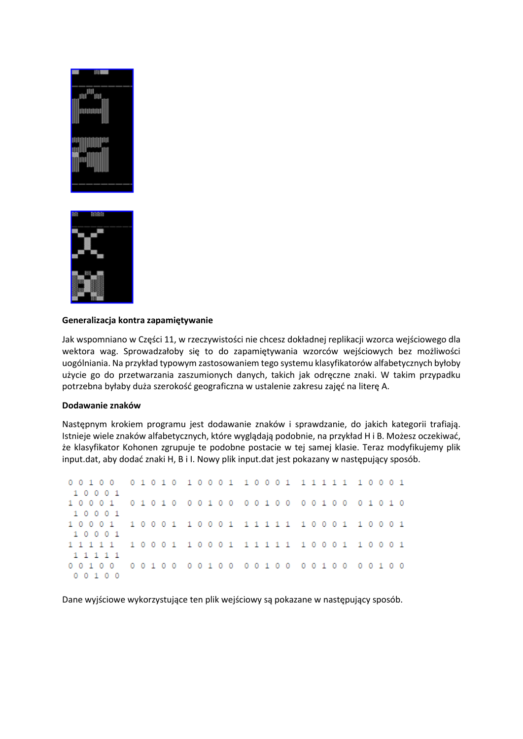



## **Generalizacja kontra zapamiętywanie**

Jak wspomniano w Części 11, w rzeczywistości nie chcesz dokładnej replikacji wzorca wejściowego dla wektora wag. Sprowadzałoby się to do zapamiętywania wzorców wejściowych bez możliwości uogólniania. Na przykład typowym zastosowaniem tego systemu klasyfikatorów alfabetycznych byłoby użycie go do przetwarzania zaszumionych danych, takich jak odręczne znaki. W takim przypadku potrzebna byłaby duża szerokość geograficzna w ustalenie zakresu zajęć na literę A.

#### **Dodawanie znaków**

Następnym krokiem programu jest dodawanie znaków i sprawdzanie, do jakich kategorii trafiają. Istnieje wiele znaków alfabetycznych, które wyglądają podobnie, na przykład H i B. Możesz oczekiwać, że klasyfikator Kohonen zgrupuje te podobne postacie w tej samej klasie. Teraz modyfikujemy plik input.dat, aby dodać znaki H, B i I. Nowy plik input.dat jest pokazany w następujący sposób.

| 00100 01010 10001 10001 11111 10001 |  |  |  |  |  |  |  |  |  |  |  |  |  |
|-------------------------------------|--|--|--|--|--|--|--|--|--|--|--|--|--|
| 10001                               |  |  |  |  |  |  |  |  |  |  |  |  |  |
| 10001 01010 00100 00100 00100 01010 |  |  |  |  |  |  |  |  |  |  |  |  |  |
| 10001                               |  |  |  |  |  |  |  |  |  |  |  |  |  |
| 10001 10001 10001 11111 10001 10001 |  |  |  |  |  |  |  |  |  |  |  |  |  |
| 10001                               |  |  |  |  |  |  |  |  |  |  |  |  |  |
| 11111 10001 10001 11111 10001 10001 |  |  |  |  |  |  |  |  |  |  |  |  |  |
| 1 1 1 1 1                           |  |  |  |  |  |  |  |  |  |  |  |  |  |
| 00100 00100 00100 00100 00100 00100 |  |  |  |  |  |  |  |  |  |  |  |  |  |
| 00100                               |  |  |  |  |  |  |  |  |  |  |  |  |  |

Dane wyjściowe wykorzystujące ten plik wejściowy są pokazane w następujący sposób.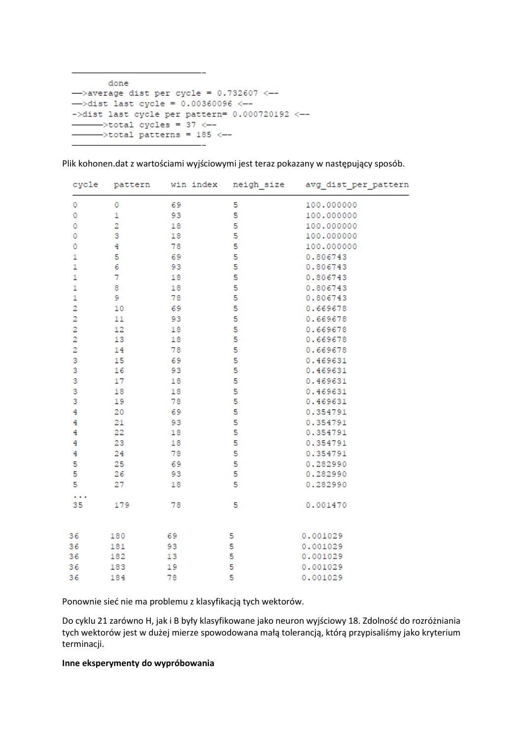done ->average dist per cycle =  $0.732607$  <--->dist last cycle =  $0.00360096$  <-- $-\lambda$ dist last cycle per pattern= 0.000720192 <-- $\frac{1}{2}$  >total cycles = 37  $\leftarrow$  $\rightarrow$ total patterns = 185 <--

| cycle                   | pattern      | win index | neigh size | avg dist per pattern |  |  |  |  |  |  |  |  |
|-------------------------|--------------|-----------|------------|----------------------|--|--|--|--|--|--|--|--|
| 0                       | 0            | 69        | 5          | 100.000000           |  |  |  |  |  |  |  |  |
| $\circ$                 | $\mathbf{1}$ | 93        | 5          | 100.000000           |  |  |  |  |  |  |  |  |
| $\circ$                 | 2            | 18        | 5          | 100.000000           |  |  |  |  |  |  |  |  |
| 0                       | 3            | 18        | 5          | 100.000000           |  |  |  |  |  |  |  |  |
| 0                       | 4            | 78        | 5          | 100.000000           |  |  |  |  |  |  |  |  |
| 1                       | 5            | 69        | 5          | 0.806743             |  |  |  |  |  |  |  |  |
| $\mathbf{1}$            | 6            | 93        | 5          | 0.806743             |  |  |  |  |  |  |  |  |
| $\mathbf{1}$            | 7            | 18        | 5          | 0.806743             |  |  |  |  |  |  |  |  |
| $\mathbf{1}$            | 8            | 18        | 5          | 0.806743             |  |  |  |  |  |  |  |  |
| $\mathbf{1}$            | 9            | 78        | 5          | 0.806743             |  |  |  |  |  |  |  |  |
| $\overline{\mathbf{2}}$ | 10           | 69        | 5          | 0.669678             |  |  |  |  |  |  |  |  |
| 2                       | 11           | 93        | 5          | 0.669678             |  |  |  |  |  |  |  |  |
| $\overline{\mathbf{2}}$ | 12           | 18        | 5          | 0.669678             |  |  |  |  |  |  |  |  |
| 2                       | 13           | 18        | 5          | 0.669678             |  |  |  |  |  |  |  |  |
| $\overline{2}$          | 14           | 78        | 5          | 0.669678             |  |  |  |  |  |  |  |  |
| 3                       | 15           | 69        | 5          | 0.469631             |  |  |  |  |  |  |  |  |
| 3                       | 16           | 93        | 5          | 0.469631             |  |  |  |  |  |  |  |  |
| 3                       | 17           | 18        | 5          | 0.469631             |  |  |  |  |  |  |  |  |
| 3                       | 18           | 18        | 5          | 0.469631             |  |  |  |  |  |  |  |  |
| 3                       | 19           | 78        | 5          | 0.469631             |  |  |  |  |  |  |  |  |
| 4                       | 20           | 69        | 5          | 0.354791             |  |  |  |  |  |  |  |  |
| 4                       | 21           | 93        | 5          | 0.354791             |  |  |  |  |  |  |  |  |
| 4                       | 22           | 18        | 5          | 0.354791             |  |  |  |  |  |  |  |  |
| 4                       | 23           | 18        | 5          | 0.354791             |  |  |  |  |  |  |  |  |
| 4                       | 24           | 78        | 5          | 0.354791             |  |  |  |  |  |  |  |  |
| 5                       | 25           | 69        | 5          | 0.282990             |  |  |  |  |  |  |  |  |
| 5                       | 26           | 93        | 5          | 0.282990             |  |  |  |  |  |  |  |  |
| 5                       | 27           | 18        | 5          | 0.282990             |  |  |  |  |  |  |  |  |
| .<br>35                 | 179          | 78        | 5          | 0.001470             |  |  |  |  |  |  |  |  |
|                         |              |           |            |                      |  |  |  |  |  |  |  |  |
| 36                      | 180          | 69        | 5          | 0.001029             |  |  |  |  |  |  |  |  |
| 36                      | 181          | 93        | 5          | 0.001029             |  |  |  |  |  |  |  |  |
| 36                      | 182          | 13        | 5          | 0.001029             |  |  |  |  |  |  |  |  |
| 36                      | 183          | 19        | 5          | 0.001029             |  |  |  |  |  |  |  |  |
| 36                      | 184          | 78        | 5          | 0.001029             |  |  |  |  |  |  |  |  |

Plik kohonen.dat z wartościami wyjściowymi jest teraz pokazany w następujący sposób.

Ponownie sieć nie ma problemu z klasyfikacją tych wektorów.

Do cyklu 21 zarówno H, jak i B były klasyfikowane jako neuron wyjściowy 18. Zdolność do rozróżniania tych wektorów jest w dużej mierze spowodowana małą tolerancją, którą przypisaliśmy jako kryterium terminacji.

#### **Inne eksperymenty do wypróbowania**